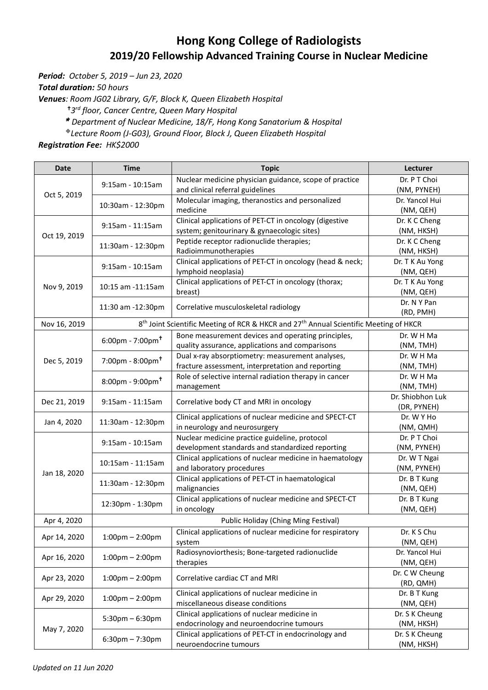## **Hong Kong College of Radiologists 2019/20 Fellowship Advanced Training Course in Nuclear Medicine**

*Period: October 5, 2019 – Jun 23, 2020*

*Total duration: 50 hours*

*Venues: Room JG02 Library, G/F, Block K, Queen Elizabeth Hospital*

*3 rd floor, Cancer Centre, Queen Mary Hospital* 

*Department of Nuclear Medicine, 18/F, [Hong Kong Sanatorium & Hospital](http://www.hksh.com/en/about-us.php)*

*Lecture Room (J-G03), Ground Floor, Block J, Queen Elizabeth Hospital*

*Registration Fee: HK\$2000*

| <b>Date</b>  | <b>Time</b>                                                                                                                                                                                                                                                                                                                                                                                                                                                                                                                                                                                                                                                                                                                | <b>Topic</b>                                                                                                                                                                                                                                                                                                                                                                                                                                                                                                                                                                                                                                                                                                                                                                                                                                                                                                                                                                                                                                                                                                                                                                                                                                                                                                                                                                                                                                                                                                                                                                                                                                                                                                                                                                                           | Lecturer                      |
|--------------|----------------------------------------------------------------------------------------------------------------------------------------------------------------------------------------------------------------------------------------------------------------------------------------------------------------------------------------------------------------------------------------------------------------------------------------------------------------------------------------------------------------------------------------------------------------------------------------------------------------------------------------------------------------------------------------------------------------------------|--------------------------------------------------------------------------------------------------------------------------------------------------------------------------------------------------------------------------------------------------------------------------------------------------------------------------------------------------------------------------------------------------------------------------------------------------------------------------------------------------------------------------------------------------------------------------------------------------------------------------------------------------------------------------------------------------------------------------------------------------------------------------------------------------------------------------------------------------------------------------------------------------------------------------------------------------------------------------------------------------------------------------------------------------------------------------------------------------------------------------------------------------------------------------------------------------------------------------------------------------------------------------------------------------------------------------------------------------------------------------------------------------------------------------------------------------------------------------------------------------------------------------------------------------------------------------------------------------------------------------------------------------------------------------------------------------------------------------------------------------------------------------------------------------------|-------------------------------|
|              |                                                                                                                                                                                                                                                                                                                                                                                                                                                                                                                                                                                                                                                                                                                            | Nuclear medicine physician guidance, scope of practice<br>and clinical referral guidelines<br>Molecular imaging, theranostics and personalized<br>medicine<br>Clinical applications of PET-CT in oncology (digestive<br>system; genitourinary & gynaecologic sites)<br>Peptide receptor radionuclide therapies;<br>Radioimmunotherapies<br>Clinical applications of PET-CT in oncology (head & neck;<br>lymphoid neoplasia)<br>Clinical applications of PET-CT in oncology (thorax;<br>breast)<br>Correlative musculoskeletal radiology<br>Bone measurement devices and operating principles,<br>quality assurance, applications and comparisons<br>Dual x-ray absorptiometry: measurement analyses,<br>fracture assessment, interpretation and reporting<br>Role of selective internal radiation therapy in cancer<br>management<br>Correlative body CT and MRI in oncology<br>Clinical applications of nuclear medicine and SPECT-CT<br>in neurology and neurosurgery<br>Nuclear medicine practice guideline, protocol<br>development standards and standardized reporting<br>Clinical applications of nuclear medicine in haematology<br>and laboratory procedures<br>Clinical applications of PET-CT in haematological<br>malignancies<br>Clinical applications of nuclear medicine and SPECT-CT<br>in oncology<br>Public Holiday (Ching Ming Festival)<br>Clinical applications of nuclear medicine for respiratory<br>system<br>Radiosynoviorthesis; Bone-targeted radionuclide<br>therapies<br>Correlative cardiac CT and MRI<br>Clinical applications of nuclear medicine in<br>miscellaneous disease conditions<br>Clinical applications of nuclear medicine in<br>endocrinology and neuroendocrine tumours<br>Clinical applications of PET-CT in endocrinology and<br>neuroendocrine tumours | Dr. P T Choi                  |
|              | $9:15$ am - 10:15am<br>10:30am - 12:30pm<br>9:15am - 11:15am<br>11:30am - 12:30pm<br>9:15am - 10:15am<br>10:15 am -11:15 am<br>11:30 am -12:30pm<br>8 <sup>th</sup> Joint Scientific Meeting of RCR & HKCR and 27 <sup>th</sup> Annual Scientific Meeting of HKCR<br>$6:00$ pm - 7:00pm <sup>+</sup><br>$7:00 \text{pm} - 8:00 \text{pm}$ <sup>t</sup><br>$8:00 \text{pm} - 9:00 \text{pm}$<br>$9:15am - 11:15am$<br>11:30am - 12:30pm<br>9:15am - 10:15am<br>10:15am - 11:15am<br>11:30am - 12:30pm<br>12:30pm - 1:30pm<br>$1:00 \text{pm} - 2:00 \text{pm}$<br>$1:00 \text{pm} - 2:00 \text{pm}$<br>$1:00 \text{pm} - 2:00 \text{pm}$<br>$1:00 \text{pm} - 2:00 \text{pm}$<br>$5:30$ pm $-6:30$ pm<br>$6:30$ pm – 7:30pm | (NM, PYNEH)                                                                                                                                                                                                                                                                                                                                                                                                                                                                                                                                                                                                                                                                                                                                                                                                                                                                                                                                                                                                                                                                                                                                                                                                                                                                                                                                                                                                                                                                                                                                                                                                                                                                                                                                                                                            |                               |
|              |                                                                                                                                                                                                                                                                                                                                                                                                                                                                                                                                                                                                                                                                                                                            | Dr. Yancol Hui                                                                                                                                                                                                                                                                                                                                                                                                                                                                                                                                                                                                                                                                                                                                                                                                                                                                                                                                                                                                                                                                                                                                                                                                                                                                                                                                                                                                                                                                                                                                                                                                                                                                                                                                                                                         |                               |
|              |                                                                                                                                                                                                                                                                                                                                                                                                                                                                                                                                                                                                                                                                                                                            |                                                                                                                                                                                                                                                                                                                                                                                                                                                                                                                                                                                                                                                                                                                                                                                                                                                                                                                                                                                                                                                                                                                                                                                                                                                                                                                                                                                                                                                                                                                                                                                                                                                                                                                                                                                                        | (NM, QEH)                     |
|              |                                                                                                                                                                                                                                                                                                                                                                                                                                                                                                                                                                                                                                                                                                                            |                                                                                                                                                                                                                                                                                                                                                                                                                                                                                                                                                                                                                                                                                                                                                                                                                                                                                                                                                                                                                                                                                                                                                                                                                                                                                                                                                                                                                                                                                                                                                                                                                                                                                                                                                                                                        | Dr. K C Cheng                 |
| Oct 19, 2019 | Oct 5, 2019<br>Dec 5, 2019                                                                                                                                                                                                                                                                                                                                                                                                                                                                                                                                                                                                                                                                                                 |                                                                                                                                                                                                                                                                                                                                                                                                                                                                                                                                                                                                                                                                                                                                                                                                                                                                                                                                                                                                                                                                                                                                                                                                                                                                                                                                                                                                                                                                                                                                                                                                                                                                                                                                                                                                        | (NM, HKSH)                    |
|              |                                                                                                                                                                                                                                                                                                                                                                                                                                                                                                                                                                                                                                                                                                                            |                                                                                                                                                                                                                                                                                                                                                                                                                                                                                                                                                                                                                                                                                                                                                                                                                                                                                                                                                                                                                                                                                                                                                                                                                                                                                                                                                                                                                                                                                                                                                                                                                                                                                                                                                                                                        | Dr. K C Cheng                 |
|              |                                                                                                                                                                                                                                                                                                                                                                                                                                                                                                                                                                                                                                                                                                                            |                                                                                                                                                                                                                                                                                                                                                                                                                                                                                                                                                                                                                                                                                                                                                                                                                                                                                                                                                                                                                                                                                                                                                                                                                                                                                                                                                                                                                                                                                                                                                                                                                                                                                                                                                                                                        | (NM, HKSH)<br>Dr. T K Au Yong |
|              |                                                                                                                                                                                                                                                                                                                                                                                                                                                                                                                                                                                                                                                                                                                            |                                                                                                                                                                                                                                                                                                                                                                                                                                                                                                                                                                                                                                                                                                                                                                                                                                                                                                                                                                                                                                                                                                                                                                                                                                                                                                                                                                                                                                                                                                                                                                                                                                                                                                                                                                                                        | (NM, QEH)                     |
| Nov 9, 2019  |                                                                                                                                                                                                                                                                                                                                                                                                                                                                                                                                                                                                                                                                                                                            |                                                                                                                                                                                                                                                                                                                                                                                                                                                                                                                                                                                                                                                                                                                                                                                                                                                                                                                                                                                                                                                                                                                                                                                                                                                                                                                                                                                                                                                                                                                                                                                                                                                                                                                                                                                                        | Dr. T K Au Yong               |
|              |                                                                                                                                                                                                                                                                                                                                                                                                                                                                                                                                                                                                                                                                                                                            |                                                                                                                                                                                                                                                                                                                                                                                                                                                                                                                                                                                                                                                                                                                                                                                                                                                                                                                                                                                                                                                                                                                                                                                                                                                                                                                                                                                                                                                                                                                                                                                                                                                                                                                                                                                                        | (NM, QEH)                     |
|              |                                                                                                                                                                                                                                                                                                                                                                                                                                                                                                                                                                                                                                                                                                                            |                                                                                                                                                                                                                                                                                                                                                                                                                                                                                                                                                                                                                                                                                                                                                                                                                                                                                                                                                                                                                                                                                                                                                                                                                                                                                                                                                                                                                                                                                                                                                                                                                                                                                                                                                                                                        | Dr. N Y Pan                   |
|              |                                                                                                                                                                                                                                                                                                                                                                                                                                                                                                                                                                                                                                                                                                                            |                                                                                                                                                                                                                                                                                                                                                                                                                                                                                                                                                                                                                                                                                                                                                                                                                                                                                                                                                                                                                                                                                                                                                                                                                                                                                                                                                                                                                                                                                                                                                                                                                                                                                                                                                                                                        | (RD, PMH)                     |
| Nov 16, 2019 |                                                                                                                                                                                                                                                                                                                                                                                                                                                                                                                                                                                                                                                                                                                            |                                                                                                                                                                                                                                                                                                                                                                                                                                                                                                                                                                                                                                                                                                                                                                                                                                                                                                                                                                                                                                                                                                                                                                                                                                                                                                                                                                                                                                                                                                                                                                                                                                                                                                                                                                                                        |                               |
|              |                                                                                                                                                                                                                                                                                                                                                                                                                                                                                                                                                                                                                                                                                                                            |                                                                                                                                                                                                                                                                                                                                                                                                                                                                                                                                                                                                                                                                                                                                                                                                                                                                                                                                                                                                                                                                                                                                                                                                                                                                                                                                                                                                                                                                                                                                                                                                                                                                                                                                                                                                        | Dr. W H Ma                    |
|              |                                                                                                                                                                                                                                                                                                                                                                                                                                                                                                                                                                                                                                                                                                                            |                                                                                                                                                                                                                                                                                                                                                                                                                                                                                                                                                                                                                                                                                                                                                                                                                                                                                                                                                                                                                                                                                                                                                                                                                                                                                                                                                                                                                                                                                                                                                                                                                                                                                                                                                                                                        | (NM, TMH)                     |
|              |                                                                                                                                                                                                                                                                                                                                                                                                                                                                                                                                                                                                                                                                                                                            |                                                                                                                                                                                                                                                                                                                                                                                                                                                                                                                                                                                                                                                                                                                                                                                                                                                                                                                                                                                                                                                                                                                                                                                                                                                                                                                                                                                                                                                                                                                                                                                                                                                                                                                                                                                                        | Dr. W H Ma                    |
|              |                                                                                                                                                                                                                                                                                                                                                                                                                                                                                                                                                                                                                                                                                                                            |                                                                                                                                                                                                                                                                                                                                                                                                                                                                                                                                                                                                                                                                                                                                                                                                                                                                                                                                                                                                                                                                                                                                                                                                                                                                                                                                                                                                                                                                                                                                                                                                                                                                                                                                                                                                        | (NM, TMH)                     |
|              |                                                                                                                                                                                                                                                                                                                                                                                                                                                                                                                                                                                                                                                                                                                            |                                                                                                                                                                                                                                                                                                                                                                                                                                                                                                                                                                                                                                                                                                                                                                                                                                                                                                                                                                                                                                                                                                                                                                                                                                                                                                                                                                                                                                                                                                                                                                                                                                                                                                                                                                                                        | Dr. W H Ma                    |
|              |                                                                                                                                                                                                                                                                                                                                                                                                                                                                                                                                                                                                                                                                                                                            |                                                                                                                                                                                                                                                                                                                                                                                                                                                                                                                                                                                                                                                                                                                                                                                                                                                                                                                                                                                                                                                                                                                                                                                                                                                                                                                                                                                                                                                                                                                                                                                                                                                                                                                                                                                                        | (NM, TMH)                     |
| Dec 21, 2019 |                                                                                                                                                                                                                                                                                                                                                                                                                                                                                                                                                                                                                                                                                                                            |                                                                                                                                                                                                                                                                                                                                                                                                                                                                                                                                                                                                                                                                                                                                                                                                                                                                                                                                                                                                                                                                                                                                                                                                                                                                                                                                                                                                                                                                                                                                                                                                                                                                                                                                                                                                        | Dr. Shiobhon Luk              |
|              |                                                                                                                                                                                                                                                                                                                                                                                                                                                                                                                                                                                                                                                                                                                            |                                                                                                                                                                                                                                                                                                                                                                                                                                                                                                                                                                                                                                                                                                                                                                                                                                                                                                                                                                                                                                                                                                                                                                                                                                                                                                                                                                                                                                                                                                                                                                                                                                                                                                                                                                                                        | (DR, PYNEH)                   |
| Jan 4, 2020  |                                                                                                                                                                                                                                                                                                                                                                                                                                                                                                                                                                                                                                                                                                                            |                                                                                                                                                                                                                                                                                                                                                                                                                                                                                                                                                                                                                                                                                                                                                                                                                                                                                                                                                                                                                                                                                                                                                                                                                                                                                                                                                                                                                                                                                                                                                                                                                                                                                                                                                                                                        | Dr. W Y Ho                    |
|              |                                                                                                                                                                                                                                                                                                                                                                                                                                                                                                                                                                                                                                                                                                                            |                                                                                                                                                                                                                                                                                                                                                                                                                                                                                                                                                                                                                                                                                                                                                                                                                                                                                                                                                                                                                                                                                                                                                                                                                                                                                                                                                                                                                                                                                                                                                                                                                                                                                                                                                                                                        | (NM, QMH)                     |
|              |                                                                                                                                                                                                                                                                                                                                                                                                                                                                                                                                                                                                                                                                                                                            |                                                                                                                                                                                                                                                                                                                                                                                                                                                                                                                                                                                                                                                                                                                                                                                                                                                                                                                                                                                                                                                                                                                                                                                                                                                                                                                                                                                                                                                                                                                                                                                                                                                                                                                                                                                                        | Dr. P T Choi                  |
|              |                                                                                                                                                                                                                                                                                                                                                                                                                                                                                                                                                                                                                                                                                                                            |                                                                                                                                                                                                                                                                                                                                                                                                                                                                                                                                                                                                                                                                                                                                                                                                                                                                                                                                                                                                                                                                                                                                                                                                                                                                                                                                                                                                                                                                                                                                                                                                                                                                                                                                                                                                        | (NM, PYNEH)<br>Dr. W T Ngai   |
| Jan 18, 2020 |                                                                                                                                                                                                                                                                                                                                                                                                                                                                                                                                                                                                                                                                                                                            |                                                                                                                                                                                                                                                                                                                                                                                                                                                                                                                                                                                                                                                                                                                                                                                                                                                                                                                                                                                                                                                                                                                                                                                                                                                                                                                                                                                                                                                                                                                                                                                                                                                                                                                                                                                                        | (NM, PYNEH)                   |
|              |                                                                                                                                                                                                                                                                                                                                                                                                                                                                                                                                                                                                                                                                                                                            |                                                                                                                                                                                                                                                                                                                                                                                                                                                                                                                                                                                                                                                                                                                                                                                                                                                                                                                                                                                                                                                                                                                                                                                                                                                                                                                                                                                                                                                                                                                                                                                                                                                                                                                                                                                                        | Dr. B T Kung                  |
|              |                                                                                                                                                                                                                                                                                                                                                                                                                                                                                                                                                                                                                                                                                                                            |                                                                                                                                                                                                                                                                                                                                                                                                                                                                                                                                                                                                                                                                                                                                                                                                                                                                                                                                                                                                                                                                                                                                                                                                                                                                                                                                                                                                                                                                                                                                                                                                                                                                                                                                                                                                        | (NM, QEH)                     |
|              |                                                                                                                                                                                                                                                                                                                                                                                                                                                                                                                                                                                                                                                                                                                            |                                                                                                                                                                                                                                                                                                                                                                                                                                                                                                                                                                                                                                                                                                                                                                                                                                                                                                                                                                                                                                                                                                                                                                                                                                                                                                                                                                                                                                                                                                                                                                                                                                                                                                                                                                                                        | Dr. B T Kung                  |
|              |                                                                                                                                                                                                                                                                                                                                                                                                                                                                                                                                                                                                                                                                                                                            |                                                                                                                                                                                                                                                                                                                                                                                                                                                                                                                                                                                                                                                                                                                                                                                                                                                                                                                                                                                                                                                                                                                                                                                                                                                                                                                                                                                                                                                                                                                                                                                                                                                                                                                                                                                                        | (NM, QEH)                     |
| Apr 4, 2020  |                                                                                                                                                                                                                                                                                                                                                                                                                                                                                                                                                                                                                                                                                                                            |                                                                                                                                                                                                                                                                                                                                                                                                                                                                                                                                                                                                                                                                                                                                                                                                                                                                                                                                                                                                                                                                                                                                                                                                                                                                                                                                                                                                                                                                                                                                                                                                                                                                                                                                                                                                        |                               |
|              |                                                                                                                                                                                                                                                                                                                                                                                                                                                                                                                                                                                                                                                                                                                            |                                                                                                                                                                                                                                                                                                                                                                                                                                                                                                                                                                                                                                                                                                                                                                                                                                                                                                                                                                                                                                                                                                                                                                                                                                                                                                                                                                                                                                                                                                                                                                                                                                                                                                                                                                                                        | Dr. K S Chu                   |
| Apr 14, 2020 |                                                                                                                                                                                                                                                                                                                                                                                                                                                                                                                                                                                                                                                                                                                            |                                                                                                                                                                                                                                                                                                                                                                                                                                                                                                                                                                                                                                                                                                                                                                                                                                                                                                                                                                                                                                                                                                                                                                                                                                                                                                                                                                                                                                                                                                                                                                                                                                                                                                                                                                                                        | (NM, QEH)                     |
|              |                                                                                                                                                                                                                                                                                                                                                                                                                                                                                                                                                                                                                                                                                                                            |                                                                                                                                                                                                                                                                                                                                                                                                                                                                                                                                                                                                                                                                                                                                                                                                                                                                                                                                                                                                                                                                                                                                                                                                                                                                                                                                                                                                                                                                                                                                                                                                                                                                                                                                                                                                        | Dr. Yancol Hui                |
| Apr 16, 2020 |                                                                                                                                                                                                                                                                                                                                                                                                                                                                                                                                                                                                                                                                                                                            |                                                                                                                                                                                                                                                                                                                                                                                                                                                                                                                                                                                                                                                                                                                                                                                                                                                                                                                                                                                                                                                                                                                                                                                                                                                                                                                                                                                                                                                                                                                                                                                                                                                                                                                                                                                                        | (NM, QEH)                     |
|              |                                                                                                                                                                                                                                                                                                                                                                                                                                                                                                                                                                                                                                                                                                                            |                                                                                                                                                                                                                                                                                                                                                                                                                                                                                                                                                                                                                                                                                                                                                                                                                                                                                                                                                                                                                                                                                                                                                                                                                                                                                                                                                                                                                                                                                                                                                                                                                                                                                                                                                                                                        | Dr. C W Cheung                |
| Apr 23, 2020 |                                                                                                                                                                                                                                                                                                                                                                                                                                                                                                                                                                                                                                                                                                                            |                                                                                                                                                                                                                                                                                                                                                                                                                                                                                                                                                                                                                                                                                                                                                                                                                                                                                                                                                                                                                                                                                                                                                                                                                                                                                                                                                                                                                                                                                                                                                                                                                                                                                                                                                                                                        | (RD, QMH)                     |
| Apr 29, 2020 |                                                                                                                                                                                                                                                                                                                                                                                                                                                                                                                                                                                                                                                                                                                            |                                                                                                                                                                                                                                                                                                                                                                                                                                                                                                                                                                                                                                                                                                                                                                                                                                                                                                                                                                                                                                                                                                                                                                                                                                                                                                                                                                                                                                                                                                                                                                                                                                                                                                                                                                                                        | Dr. B T Kung                  |
|              |                                                                                                                                                                                                                                                                                                                                                                                                                                                                                                                                                                                                                                                                                                                            |                                                                                                                                                                                                                                                                                                                                                                                                                                                                                                                                                                                                                                                                                                                                                                                                                                                                                                                                                                                                                                                                                                                                                                                                                                                                                                                                                                                                                                                                                                                                                                                                                                                                                                                                                                                                        | (NM, QEH)                     |
|              |                                                                                                                                                                                                                                                                                                                                                                                                                                                                                                                                                                                                                                                                                                                            |                                                                                                                                                                                                                                                                                                                                                                                                                                                                                                                                                                                                                                                                                                                                                                                                                                                                                                                                                                                                                                                                                                                                                                                                                                                                                                                                                                                                                                                                                                                                                                                                                                                                                                                                                                                                        | Dr. S K Cheung                |
| May 7, 2020  |                                                                                                                                                                                                                                                                                                                                                                                                                                                                                                                                                                                                                                                                                                                            | (NM, HKSH)                                                                                                                                                                                                                                                                                                                                                                                                                                                                                                                                                                                                                                                                                                                                                                                                                                                                                                                                                                                                                                                                                                                                                                                                                                                                                                                                                                                                                                                                                                                                                                                                                                                                                                                                                                                             |                               |
|              |                                                                                                                                                                                                                                                                                                                                                                                                                                                                                                                                                                                                                                                                                                                            |                                                                                                                                                                                                                                                                                                                                                                                                                                                                                                                                                                                                                                                                                                                                                                                                                                                                                                                                                                                                                                                                                                                                                                                                                                                                                                                                                                                                                                                                                                                                                                                                                                                                                                                                                                                                        | Dr. S K Cheung                |
|              |                                                                                                                                                                                                                                                                                                                                                                                                                                                                                                                                                                                                                                                                                                                            |                                                                                                                                                                                                                                                                                                                                                                                                                                                                                                                                                                                                                                                                                                                                                                                                                                                                                                                                                                                                                                                                                                                                                                                                                                                                                                                                                                                                                                                                                                                                                                                                                                                                                                                                                                                                        | (NM, HKSH)                    |